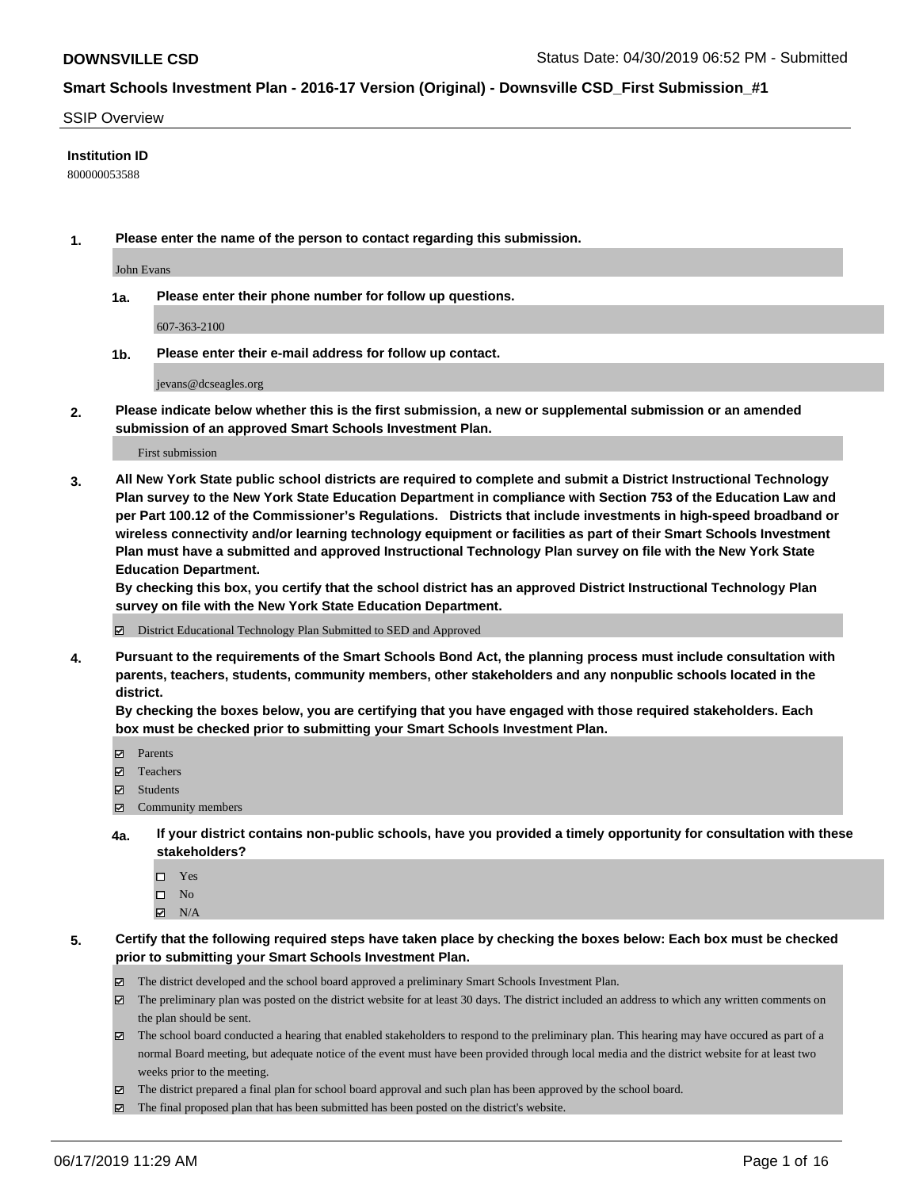#### SSIP Overview

#### **Institution ID**

800000053588

**1. Please enter the name of the person to contact regarding this submission.**

John Evans

**1a. Please enter their phone number for follow up questions.**

607-363-2100

**1b. Please enter their e-mail address for follow up contact.**

jevans@dcseagles.org

**2. Please indicate below whether this is the first submission, a new or supplemental submission or an amended submission of an approved Smart Schools Investment Plan.**

First submission

**3. All New York State public school districts are required to complete and submit a District Instructional Technology Plan survey to the New York State Education Department in compliance with Section 753 of the Education Law and per Part 100.12 of the Commissioner's Regulations. Districts that include investments in high-speed broadband or wireless connectivity and/or learning technology equipment or facilities as part of their Smart Schools Investment Plan must have a submitted and approved Instructional Technology Plan survey on file with the New York State Education Department.** 

**By checking this box, you certify that the school district has an approved District Instructional Technology Plan survey on file with the New York State Education Department.**

District Educational Technology Plan Submitted to SED and Approved

**4. Pursuant to the requirements of the Smart Schools Bond Act, the planning process must include consultation with parents, teachers, students, community members, other stakeholders and any nonpublic schools located in the district.** 

**By checking the boxes below, you are certifying that you have engaged with those required stakeholders. Each box must be checked prior to submitting your Smart Schools Investment Plan.**

- Parents
- Teachers
- Students
- Community members
- **4a. If your district contains non-public schools, have you provided a timely opportunity for consultation with these stakeholders?**
	- □ Yes
	- $\square$  No
	- $N/A$

**5. Certify that the following required steps have taken place by checking the boxes below: Each box must be checked prior to submitting your Smart Schools Investment Plan.**

- The district developed and the school board approved a preliminary Smart Schools Investment Plan.
- $\boxtimes$  The preliminary plan was posted on the district website for at least 30 days. The district included an address to which any written comments on the plan should be sent.
- $\boxtimes$  The school board conducted a hearing that enabled stakeholders to respond to the preliminary plan. This hearing may have occured as part of a normal Board meeting, but adequate notice of the event must have been provided through local media and the district website for at least two weeks prior to the meeting.
- The district prepared a final plan for school board approval and such plan has been approved by the school board.
- $\boxtimes$  The final proposed plan that has been submitted has been posted on the district's website.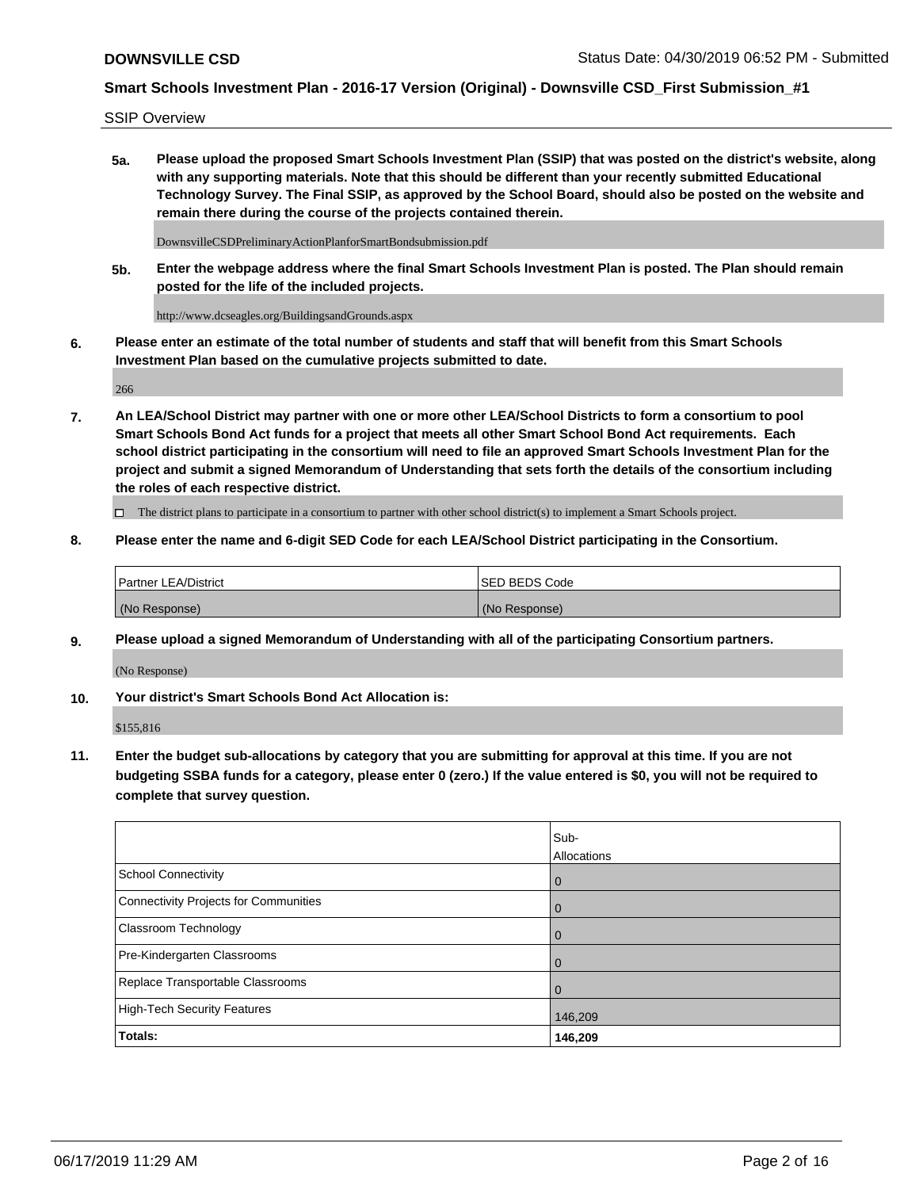SSIP Overview

**5a. Please upload the proposed Smart Schools Investment Plan (SSIP) that was posted on the district's website, along with any supporting materials. Note that this should be different than your recently submitted Educational Technology Survey. The Final SSIP, as approved by the School Board, should also be posted on the website and remain there during the course of the projects contained therein.**

DownsvilleCSDPreliminaryActionPlanforSmartBondsubmission.pdf

**5b. Enter the webpage address where the final Smart Schools Investment Plan is posted. The Plan should remain posted for the life of the included projects.**

http://www.dcseagles.org/BuildingsandGrounds.aspx

**6. Please enter an estimate of the total number of students and staff that will benefit from this Smart Schools Investment Plan based on the cumulative projects submitted to date.**

266

**7. An LEA/School District may partner with one or more other LEA/School Districts to form a consortium to pool Smart Schools Bond Act funds for a project that meets all other Smart School Bond Act requirements. Each school district participating in the consortium will need to file an approved Smart Schools Investment Plan for the project and submit a signed Memorandum of Understanding that sets forth the details of the consortium including the roles of each respective district.**

 $\Box$  The district plans to participate in a consortium to partner with other school district(s) to implement a Smart Schools project.

### **8. Please enter the name and 6-digit SED Code for each LEA/School District participating in the Consortium.**

| <b>Partner LEA/District</b> | <b>ISED BEDS Code</b> |
|-----------------------------|-----------------------|
| (No Response)               | (No Response)         |

#### **9. Please upload a signed Memorandum of Understanding with all of the participating Consortium partners.**

(No Response)

**10. Your district's Smart Schools Bond Act Allocation is:**

\$155,816

**11. Enter the budget sub-allocations by category that you are submitting for approval at this time. If you are not budgeting SSBA funds for a category, please enter 0 (zero.) If the value entered is \$0, you will not be required to complete that survey question.**

|                                       | Sub-<br>Allocations |
|---------------------------------------|---------------------|
| School Connectivity                   | $\overline{0}$      |
| Connectivity Projects for Communities | $\overline{0}$      |
| <b>Classroom Technology</b>           | 0                   |
| Pre-Kindergarten Classrooms           | 0                   |
| Replace Transportable Classrooms      |                     |
| High-Tech Security Features           | 146,209             |
| Totals:                               | 146,209             |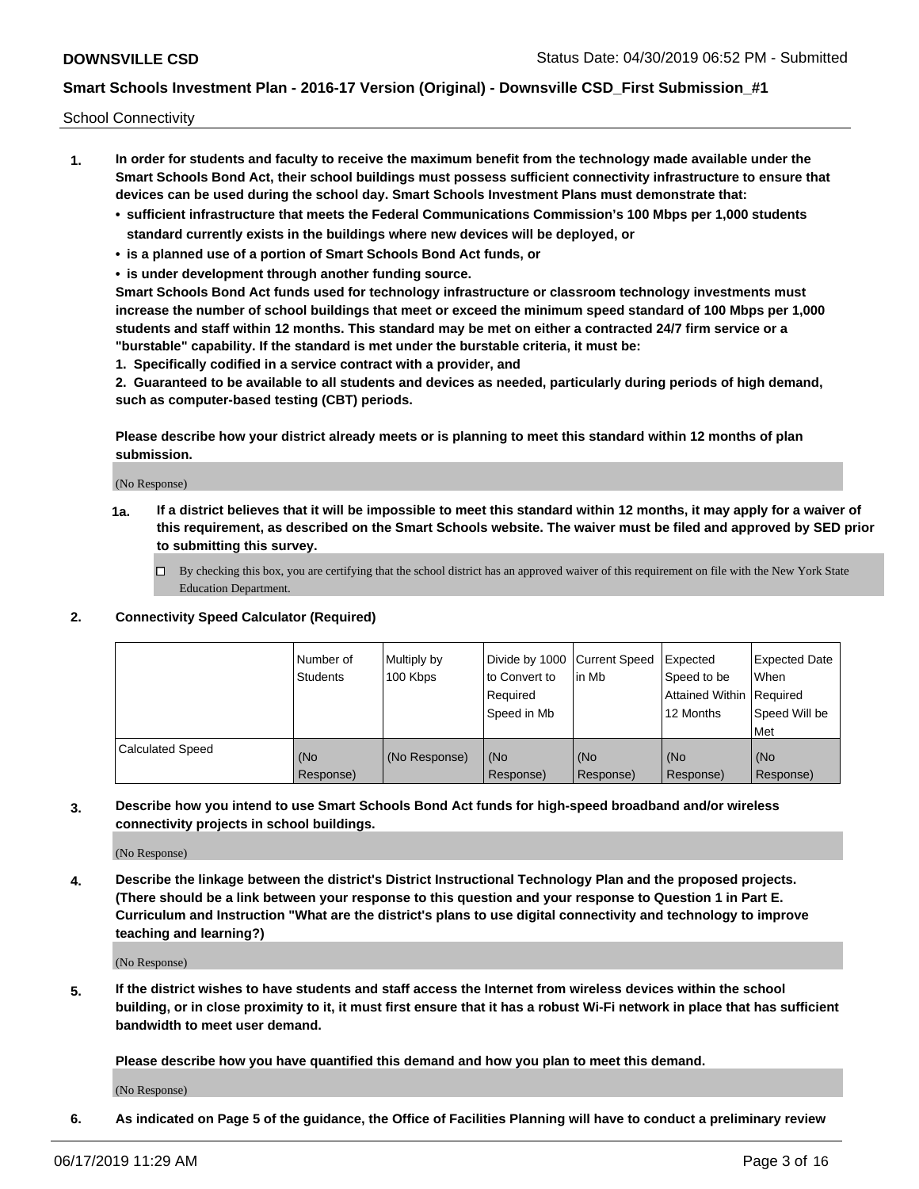School Connectivity

- **1. In order for students and faculty to receive the maximum benefit from the technology made available under the Smart Schools Bond Act, their school buildings must possess sufficient connectivity infrastructure to ensure that devices can be used during the school day. Smart Schools Investment Plans must demonstrate that:**
	- **• sufficient infrastructure that meets the Federal Communications Commission's 100 Mbps per 1,000 students standard currently exists in the buildings where new devices will be deployed, or**
	- **• is a planned use of a portion of Smart Schools Bond Act funds, or**
	- **• is under development through another funding source.**

**Smart Schools Bond Act funds used for technology infrastructure or classroom technology investments must increase the number of school buildings that meet or exceed the minimum speed standard of 100 Mbps per 1,000 students and staff within 12 months. This standard may be met on either a contracted 24/7 firm service or a "burstable" capability. If the standard is met under the burstable criteria, it must be:**

**1. Specifically codified in a service contract with a provider, and**

**2. Guaranteed to be available to all students and devices as needed, particularly during periods of high demand, such as computer-based testing (CBT) periods.**

**Please describe how your district already meets or is planning to meet this standard within 12 months of plan submission.**

(No Response)

**1a. If a district believes that it will be impossible to meet this standard within 12 months, it may apply for a waiver of this requirement, as described on the Smart Schools website. The waiver must be filed and approved by SED prior to submitting this survey.**

 $\Box$  By checking this box, you are certifying that the school district has an approved waiver of this requirement on file with the New York State Education Department.

#### **2. Connectivity Speed Calculator (Required)**

|                         | l Number of<br><b>Students</b> | Multiply by<br>100 Kbps | Divide by 1000 Current Speed<br>to Convert to<br>Required<br>l Speed in Mb | lin Mb           | Expected<br>Speed to be<br>Attained Within   Required<br>12 Months | <b>Expected Date</b><br>When<br>Speed Will be<br>Met |
|-------------------------|--------------------------------|-------------------------|----------------------------------------------------------------------------|------------------|--------------------------------------------------------------------|------------------------------------------------------|
| <b>Calculated Speed</b> | (No<br>Response)               | (No Response)           | (No<br>Response)                                                           | (No<br>Response) | (No<br>Response)                                                   | (No<br>Response)                                     |

**3. Describe how you intend to use Smart Schools Bond Act funds for high-speed broadband and/or wireless connectivity projects in school buildings.**

(No Response)

**4. Describe the linkage between the district's District Instructional Technology Plan and the proposed projects. (There should be a link between your response to this question and your response to Question 1 in Part E. Curriculum and Instruction "What are the district's plans to use digital connectivity and technology to improve teaching and learning?)**

(No Response)

**5. If the district wishes to have students and staff access the Internet from wireless devices within the school building, or in close proximity to it, it must first ensure that it has a robust Wi-Fi network in place that has sufficient bandwidth to meet user demand.**

**Please describe how you have quantified this demand and how you plan to meet this demand.**

(No Response)

**6. As indicated on Page 5 of the guidance, the Office of Facilities Planning will have to conduct a preliminary review**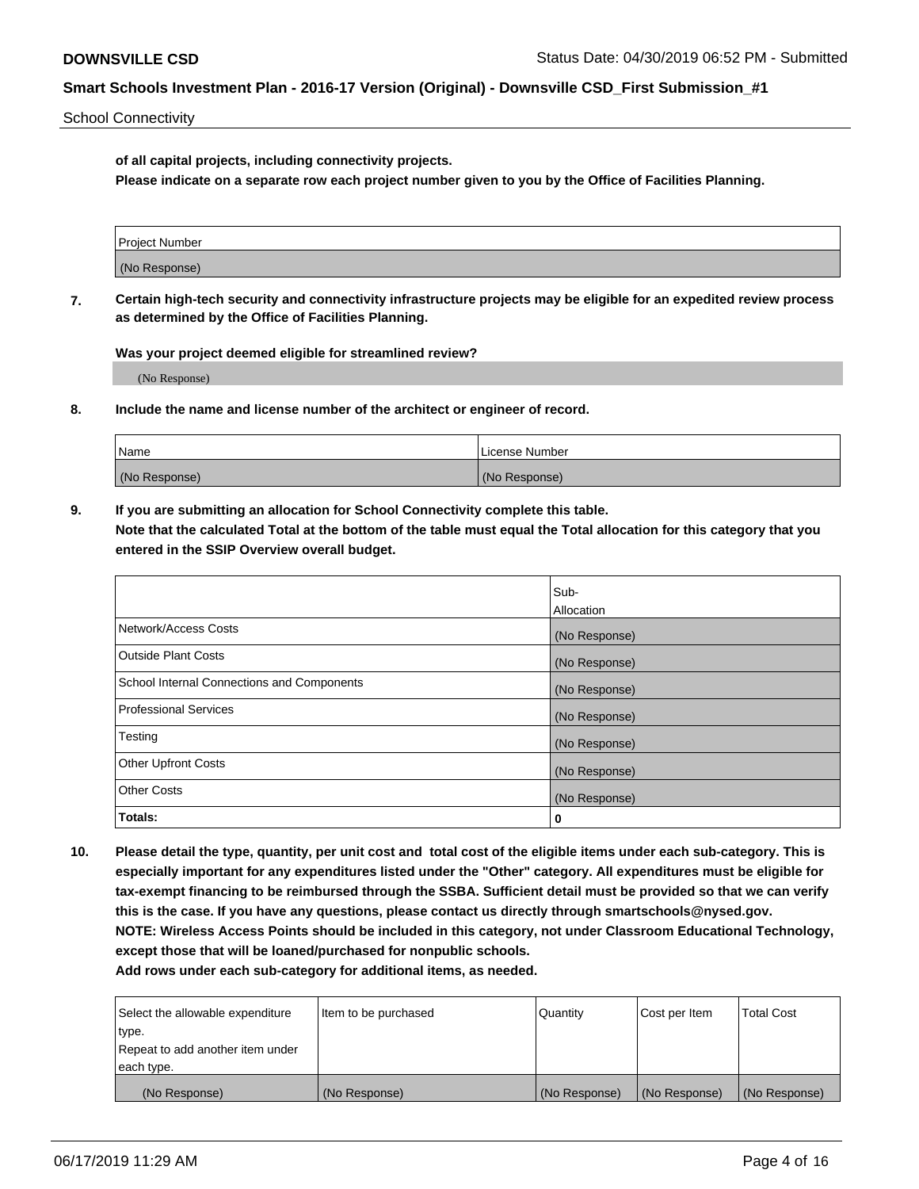School Connectivity

**of all capital projects, including connectivity projects.**

**Please indicate on a separate row each project number given to you by the Office of Facilities Planning.**

| Project Number |  |
|----------------|--|
|                |  |
| (No Response)  |  |
|                |  |

**7. Certain high-tech security and connectivity infrastructure projects may be eligible for an expedited review process as determined by the Office of Facilities Planning.**

**Was your project deemed eligible for streamlined review?**

(No Response)

**8. Include the name and license number of the architect or engineer of record.**

| Name          | License Number |
|---------------|----------------|
| (No Response) | (No Response)  |

**9. If you are submitting an allocation for School Connectivity complete this table. Note that the calculated Total at the bottom of the table must equal the Total allocation for this category that you entered in the SSIP Overview overall budget.** 

|                                            | Sub-              |
|--------------------------------------------|-------------------|
|                                            | <b>Allocation</b> |
| Network/Access Costs                       | (No Response)     |
| <b>Outside Plant Costs</b>                 | (No Response)     |
| School Internal Connections and Components | (No Response)     |
| <b>Professional Services</b>               | (No Response)     |
| Testing                                    | (No Response)     |
| <b>Other Upfront Costs</b>                 | (No Response)     |
| <b>Other Costs</b>                         | (No Response)     |
| Totals:                                    | 0                 |

**10. Please detail the type, quantity, per unit cost and total cost of the eligible items under each sub-category. This is especially important for any expenditures listed under the "Other" category. All expenditures must be eligible for tax-exempt financing to be reimbursed through the SSBA. Sufficient detail must be provided so that we can verify this is the case. If you have any questions, please contact us directly through smartschools@nysed.gov. NOTE: Wireless Access Points should be included in this category, not under Classroom Educational Technology, except those that will be loaned/purchased for nonpublic schools.**

| Select the allowable expenditure | Item to be purchased | Quantity      | <b>Cost per Item</b> | <b>Total Cost</b> |
|----------------------------------|----------------------|---------------|----------------------|-------------------|
| type.                            |                      |               |                      |                   |
| Repeat to add another item under |                      |               |                      |                   |
| each type.                       |                      |               |                      |                   |
| (No Response)                    | (No Response)        | (No Response) | (No Response)        | (No Response)     |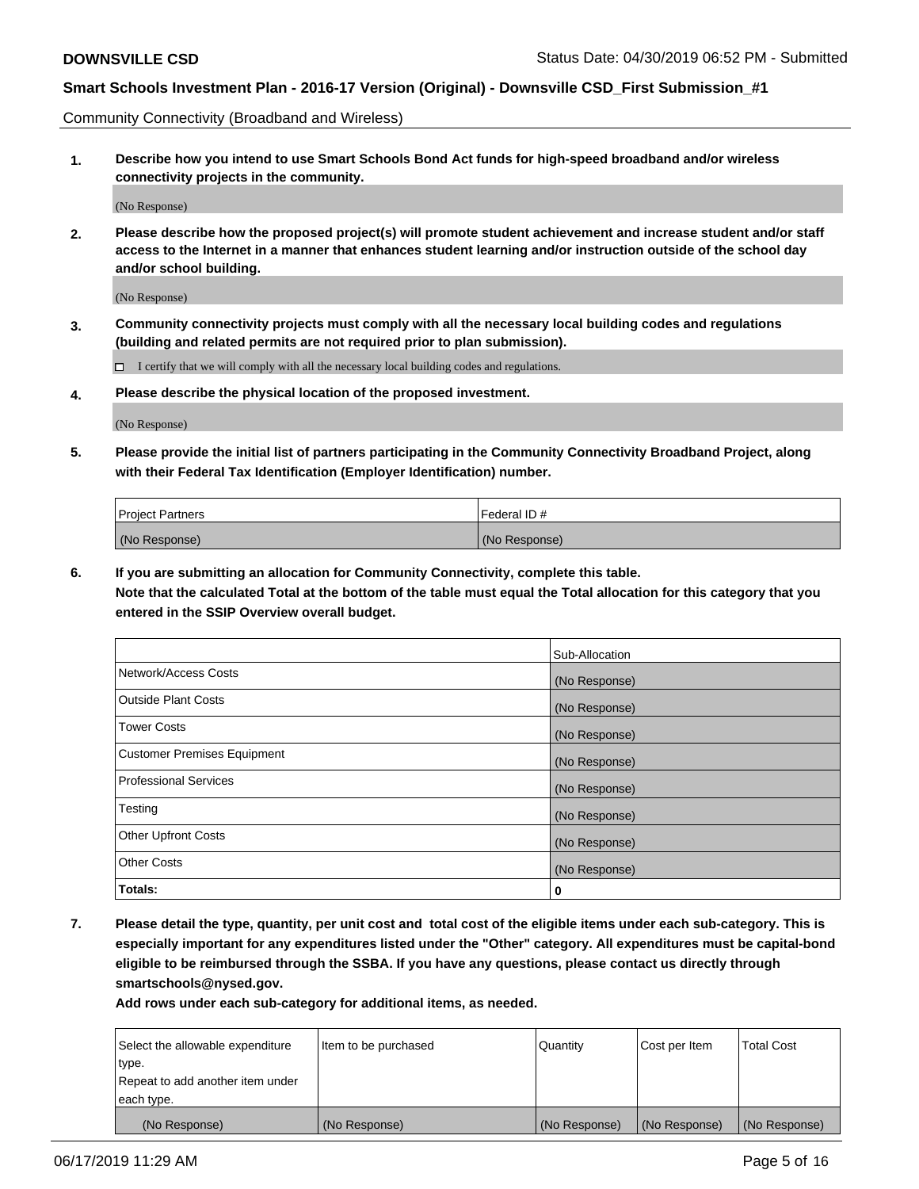Community Connectivity (Broadband and Wireless)

**1. Describe how you intend to use Smart Schools Bond Act funds for high-speed broadband and/or wireless connectivity projects in the community.**

(No Response)

**2. Please describe how the proposed project(s) will promote student achievement and increase student and/or staff access to the Internet in a manner that enhances student learning and/or instruction outside of the school day and/or school building.**

(No Response)

**3. Community connectivity projects must comply with all the necessary local building codes and regulations (building and related permits are not required prior to plan submission).**

 $\Box$  I certify that we will comply with all the necessary local building codes and regulations.

**4. Please describe the physical location of the proposed investment.**

(No Response)

**5. Please provide the initial list of partners participating in the Community Connectivity Broadband Project, along with their Federal Tax Identification (Employer Identification) number.**

| <b>Project Partners</b> | l Federal ID # |
|-------------------------|----------------|
| (No Response)           | (No Response)  |

**6. If you are submitting an allocation for Community Connectivity, complete this table.**

**Note that the calculated Total at the bottom of the table must equal the Total allocation for this category that you entered in the SSIP Overview overall budget.**

|                                    | Sub-Allocation |
|------------------------------------|----------------|
| Network/Access Costs               | (No Response)  |
| <b>Outside Plant Costs</b>         | (No Response)  |
| <b>Tower Costs</b>                 | (No Response)  |
| <b>Customer Premises Equipment</b> | (No Response)  |
| <b>Professional Services</b>       | (No Response)  |
| Testing                            | (No Response)  |
| <b>Other Upfront Costs</b>         | (No Response)  |
| <b>Other Costs</b>                 | (No Response)  |
| Totals:                            | 0              |

**7. Please detail the type, quantity, per unit cost and total cost of the eligible items under each sub-category. This is especially important for any expenditures listed under the "Other" category. All expenditures must be capital-bond eligible to be reimbursed through the SSBA. If you have any questions, please contact us directly through smartschools@nysed.gov.**

| Select the allowable expenditure | Item to be purchased | Quantity      | Cost per Item | <b>Total Cost</b> |
|----------------------------------|----------------------|---------------|---------------|-------------------|
| type.                            |                      |               |               |                   |
| Repeat to add another item under |                      |               |               |                   |
| each type.                       |                      |               |               |                   |
| (No Response)                    | (No Response)        | (No Response) | (No Response) | (No Response)     |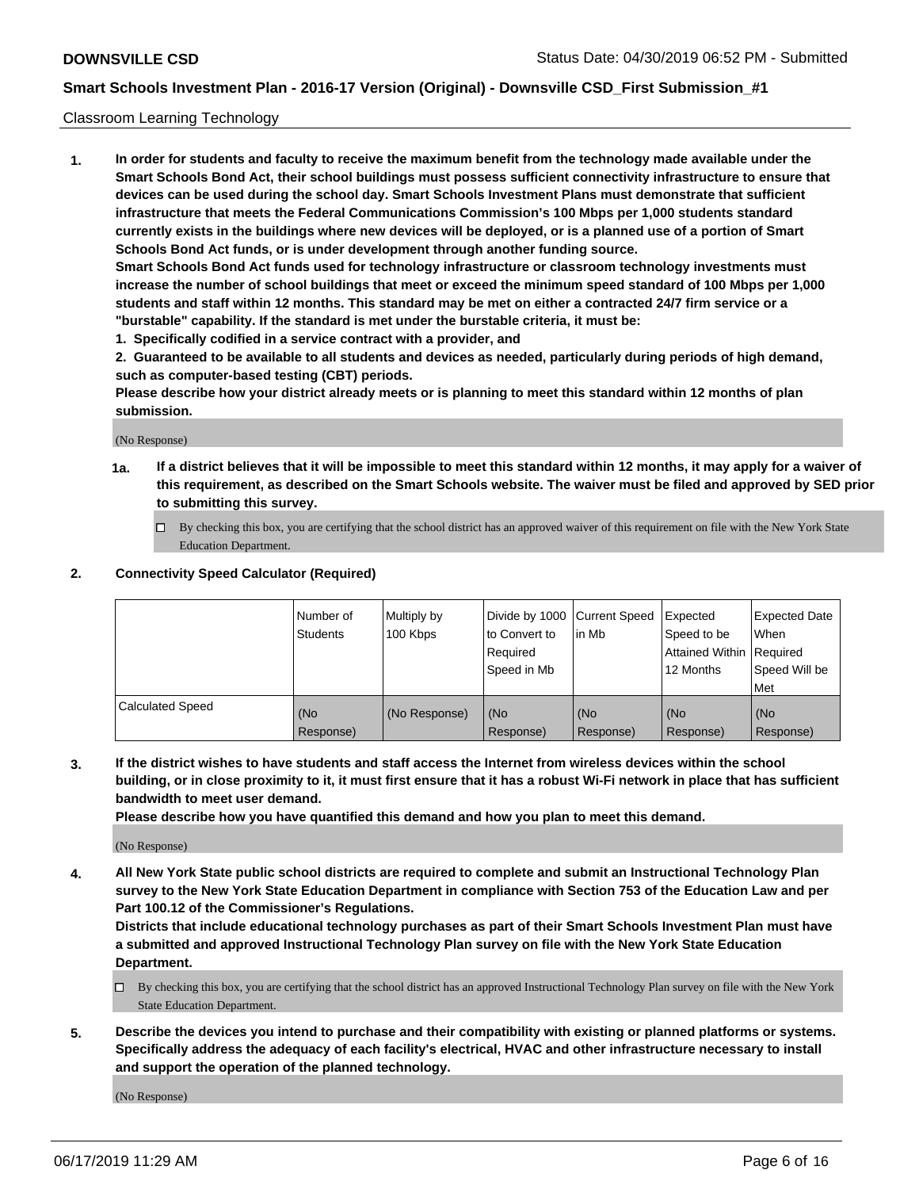#### Classroom Learning Technology

**1. In order for students and faculty to receive the maximum benefit from the technology made available under the Smart Schools Bond Act, their school buildings must possess sufficient connectivity infrastructure to ensure that devices can be used during the school day. Smart Schools Investment Plans must demonstrate that sufficient infrastructure that meets the Federal Communications Commission's 100 Mbps per 1,000 students standard currently exists in the buildings where new devices will be deployed, or is a planned use of a portion of Smart Schools Bond Act funds, or is under development through another funding source. Smart Schools Bond Act funds used for technology infrastructure or classroom technology investments must increase the number of school buildings that meet or exceed the minimum speed standard of 100 Mbps per 1,000 students and staff within 12 months. This standard may be met on either a contracted 24/7 firm service or a**

- **"burstable" capability. If the standard is met under the burstable criteria, it must be:**
- **1. Specifically codified in a service contract with a provider, and**

**2. Guaranteed to be available to all students and devices as needed, particularly during periods of high demand, such as computer-based testing (CBT) periods.**

**Please describe how your district already meets or is planning to meet this standard within 12 months of plan submission.**

(No Response)

- **1a. If a district believes that it will be impossible to meet this standard within 12 months, it may apply for a waiver of this requirement, as described on the Smart Schools website. The waiver must be filed and approved by SED prior to submitting this survey.**
	- By checking this box, you are certifying that the school district has an approved waiver of this requirement on file with the New York State Education Department.

#### **2. Connectivity Speed Calculator (Required)**

|                         | I Number of<br>Students | Multiply by<br>100 Kbps | to Convert to<br>Required<br>Speed in Mb | Divide by 1000 Current Speed Expected<br>lin Mb | Speed to be<br>Attained Within Required<br>12 Months | Expected Date<br>When<br>Speed Will be<br>Met |
|-------------------------|-------------------------|-------------------------|------------------------------------------|-------------------------------------------------|------------------------------------------------------|-----------------------------------------------|
| <b>Calculated Speed</b> | (No<br>Response)        | (No Response)           | (No<br>Response)                         | (No<br>Response)                                | (No<br>Response)                                     | (No<br>Response)                              |

**3. If the district wishes to have students and staff access the Internet from wireless devices within the school building, or in close proximity to it, it must first ensure that it has a robust Wi-Fi network in place that has sufficient bandwidth to meet user demand.**

**Please describe how you have quantified this demand and how you plan to meet this demand.**

(No Response)

**4. All New York State public school districts are required to complete and submit an Instructional Technology Plan survey to the New York State Education Department in compliance with Section 753 of the Education Law and per Part 100.12 of the Commissioner's Regulations.**

**Districts that include educational technology purchases as part of their Smart Schools Investment Plan must have a submitted and approved Instructional Technology Plan survey on file with the New York State Education Department.**

- $\Box$  By checking this box, you are certifying that the school district has an approved Instructional Technology Plan survey on file with the New York State Education Department.
- **5. Describe the devices you intend to purchase and their compatibility with existing or planned platforms or systems. Specifically address the adequacy of each facility's electrical, HVAC and other infrastructure necessary to install and support the operation of the planned technology.**

(No Response)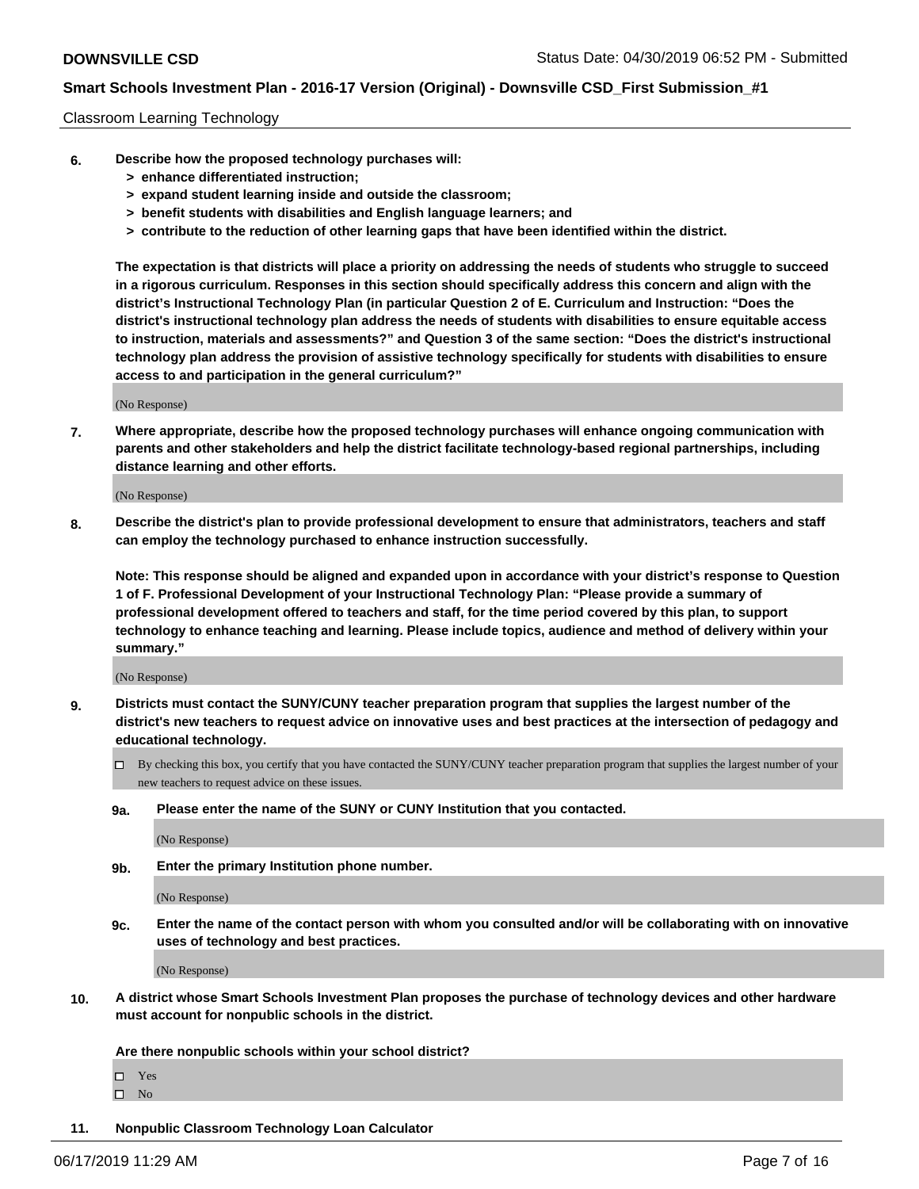#### Classroom Learning Technology

- **6. Describe how the proposed technology purchases will:**
	- **> enhance differentiated instruction;**
	- **> expand student learning inside and outside the classroom;**
	- **> benefit students with disabilities and English language learners; and**
	- **> contribute to the reduction of other learning gaps that have been identified within the district.**

**The expectation is that districts will place a priority on addressing the needs of students who struggle to succeed in a rigorous curriculum. Responses in this section should specifically address this concern and align with the district's Instructional Technology Plan (in particular Question 2 of E. Curriculum and Instruction: "Does the district's instructional technology plan address the needs of students with disabilities to ensure equitable access to instruction, materials and assessments?" and Question 3 of the same section: "Does the district's instructional technology plan address the provision of assistive technology specifically for students with disabilities to ensure access to and participation in the general curriculum?"**

(No Response)

**7. Where appropriate, describe how the proposed technology purchases will enhance ongoing communication with parents and other stakeholders and help the district facilitate technology-based regional partnerships, including distance learning and other efforts.**

(No Response)

**8. Describe the district's plan to provide professional development to ensure that administrators, teachers and staff can employ the technology purchased to enhance instruction successfully.**

**Note: This response should be aligned and expanded upon in accordance with your district's response to Question 1 of F. Professional Development of your Instructional Technology Plan: "Please provide a summary of professional development offered to teachers and staff, for the time period covered by this plan, to support technology to enhance teaching and learning. Please include topics, audience and method of delivery within your summary."**

(No Response)

- **9. Districts must contact the SUNY/CUNY teacher preparation program that supplies the largest number of the district's new teachers to request advice on innovative uses and best practices at the intersection of pedagogy and educational technology.**
	- By checking this box, you certify that you have contacted the SUNY/CUNY teacher preparation program that supplies the largest number of your new teachers to request advice on these issues.
	- **9a. Please enter the name of the SUNY or CUNY Institution that you contacted.**

(No Response)

**9b. Enter the primary Institution phone number.**

(No Response)

**9c. Enter the name of the contact person with whom you consulted and/or will be collaborating with on innovative uses of technology and best practices.**

(No Response)

**10. A district whose Smart Schools Investment Plan proposes the purchase of technology devices and other hardware must account for nonpublic schools in the district.**

**Are there nonpublic schools within your school district?**

Yes

 $\square$  No

**11. Nonpublic Classroom Technology Loan Calculator**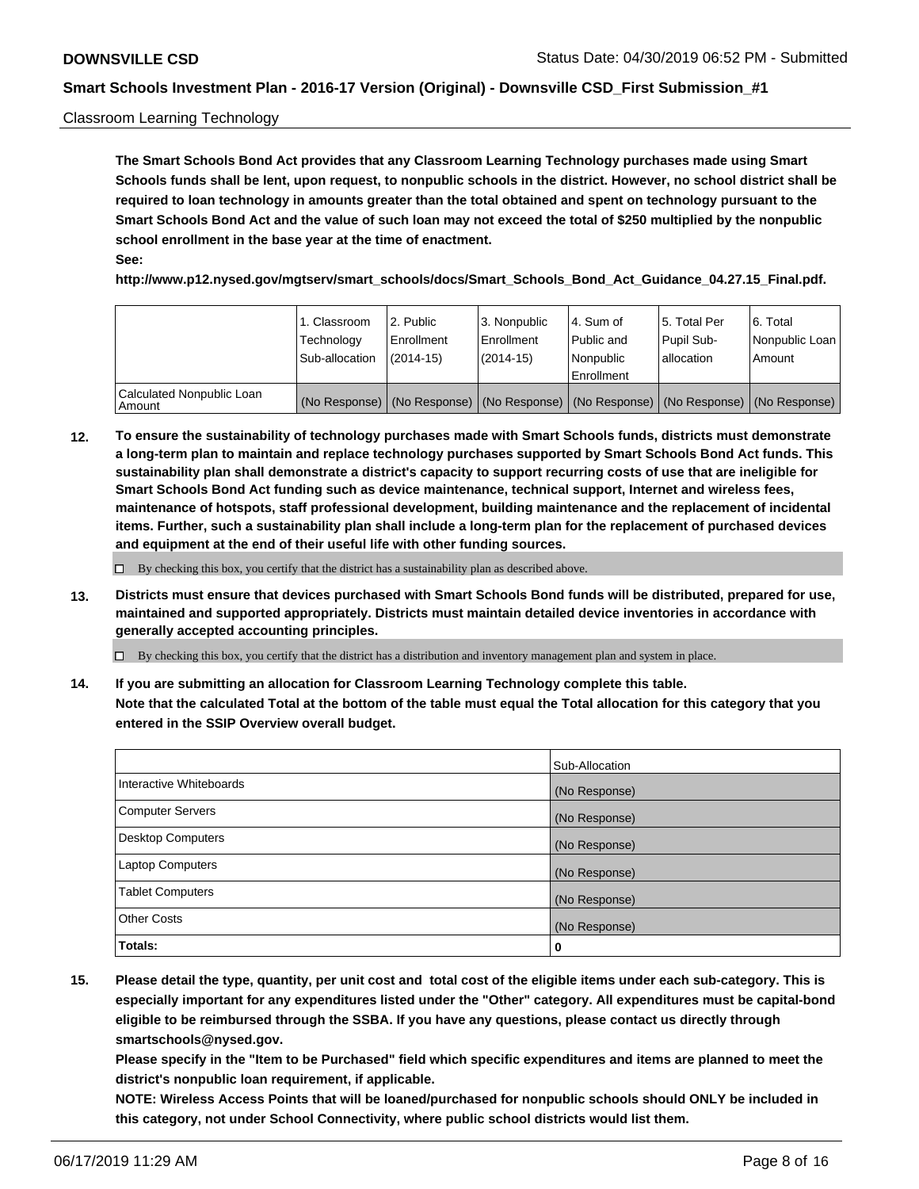#### Classroom Learning Technology

**The Smart Schools Bond Act provides that any Classroom Learning Technology purchases made using Smart Schools funds shall be lent, upon request, to nonpublic schools in the district. However, no school district shall be required to loan technology in amounts greater than the total obtained and spent on technology pursuant to the Smart Schools Bond Act and the value of such loan may not exceed the total of \$250 multiplied by the nonpublic school enrollment in the base year at the time of enactment. See:**

**http://www.p12.nysed.gov/mgtserv/smart\_schools/docs/Smart\_Schools\_Bond\_Act\_Guidance\_04.27.15\_Final.pdf.**

|                                       | 1. Classroom<br>Technology<br>Sub-allocation | 2. Public<br>l Enrollment<br>$(2014-15)$ | l 3. Nonpublic<br>l Enrollment<br>$(2014 - 15)$ | l 4. Sum of<br>Public and<br>l Nonpublic<br>Enrollment                                        | 15. Total Per<br>Pupil Sub-<br>l allocation | l 6. Total<br>Nonpublic Loan<br>Amount |
|---------------------------------------|----------------------------------------------|------------------------------------------|-------------------------------------------------|-----------------------------------------------------------------------------------------------|---------------------------------------------|----------------------------------------|
| Calculated Nonpublic Loan<br>l Amount |                                              |                                          |                                                 | (No Response)   (No Response)   (No Response)   (No Response)   (No Response)   (No Response) |                                             |                                        |

**12. To ensure the sustainability of technology purchases made with Smart Schools funds, districts must demonstrate a long-term plan to maintain and replace technology purchases supported by Smart Schools Bond Act funds. This sustainability plan shall demonstrate a district's capacity to support recurring costs of use that are ineligible for Smart Schools Bond Act funding such as device maintenance, technical support, Internet and wireless fees, maintenance of hotspots, staff professional development, building maintenance and the replacement of incidental items. Further, such a sustainability plan shall include a long-term plan for the replacement of purchased devices and equipment at the end of their useful life with other funding sources.**

 $\Box$  By checking this box, you certify that the district has a sustainability plan as described above.

**13. Districts must ensure that devices purchased with Smart Schools Bond funds will be distributed, prepared for use, maintained and supported appropriately. Districts must maintain detailed device inventories in accordance with generally accepted accounting principles.**

By checking this box, you certify that the district has a distribution and inventory management plan and system in place.

**14. If you are submitting an allocation for Classroom Learning Technology complete this table. Note that the calculated Total at the bottom of the table must equal the Total allocation for this category that you entered in the SSIP Overview overall budget.**

|                          | Sub-Allocation |
|--------------------------|----------------|
| Interactive Whiteboards  | (No Response)  |
| <b>Computer Servers</b>  | (No Response)  |
| <b>Desktop Computers</b> | (No Response)  |
| <b>Laptop Computers</b>  | (No Response)  |
| <b>Tablet Computers</b>  | (No Response)  |
| <b>Other Costs</b>       | (No Response)  |
| Totals:                  | 0              |

**15. Please detail the type, quantity, per unit cost and total cost of the eligible items under each sub-category. This is especially important for any expenditures listed under the "Other" category. All expenditures must be capital-bond eligible to be reimbursed through the SSBA. If you have any questions, please contact us directly through smartschools@nysed.gov.**

**Please specify in the "Item to be Purchased" field which specific expenditures and items are planned to meet the district's nonpublic loan requirement, if applicable.**

**NOTE: Wireless Access Points that will be loaned/purchased for nonpublic schools should ONLY be included in this category, not under School Connectivity, where public school districts would list them.**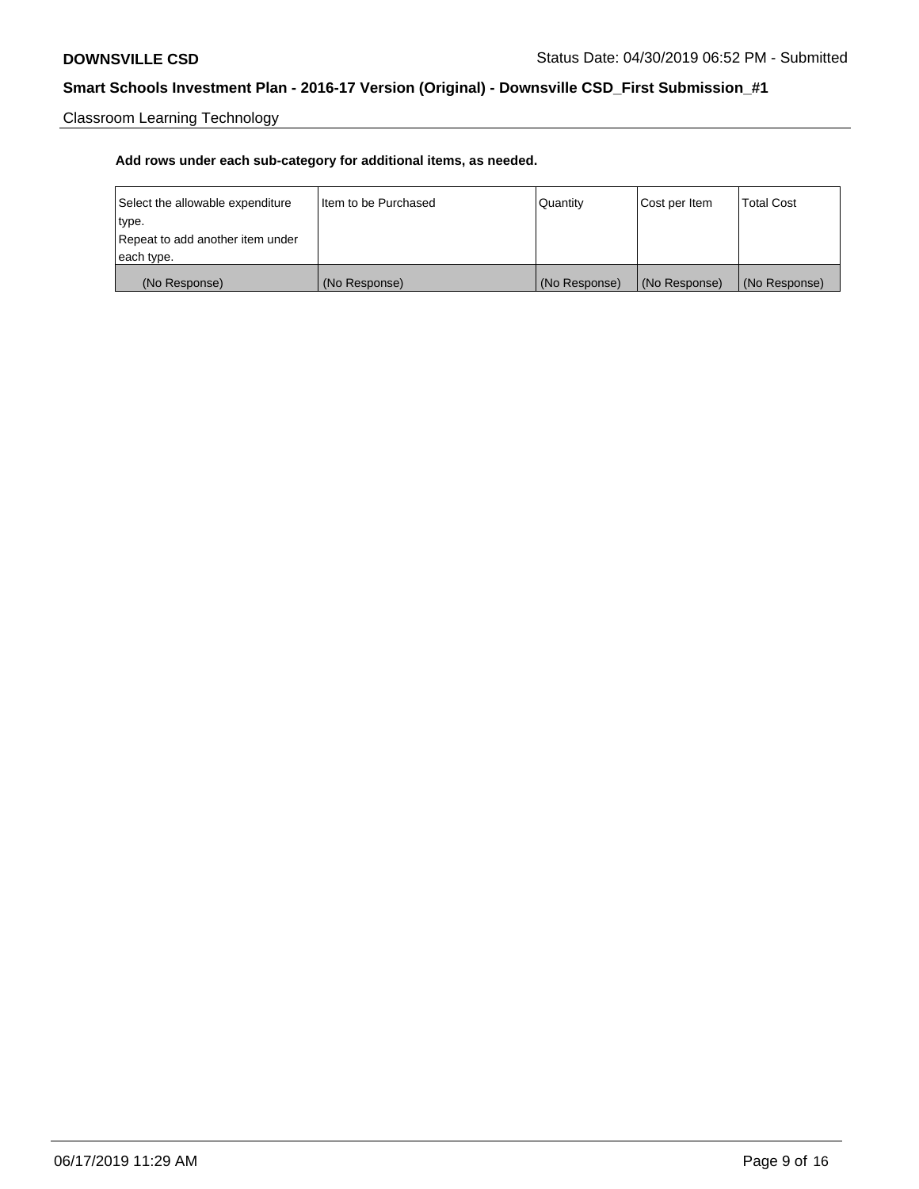Classroom Learning Technology

| Select the allowable expenditure | Iltem to be Purchased | Quantity      | Cost per Item | <b>Total Cost</b> |
|----------------------------------|-----------------------|---------------|---------------|-------------------|
| type.                            |                       |               |               |                   |
| Repeat to add another item under |                       |               |               |                   |
| each type.                       |                       |               |               |                   |
| (No Response)                    | (No Response)         | (No Response) | (No Response) | (No Response)     |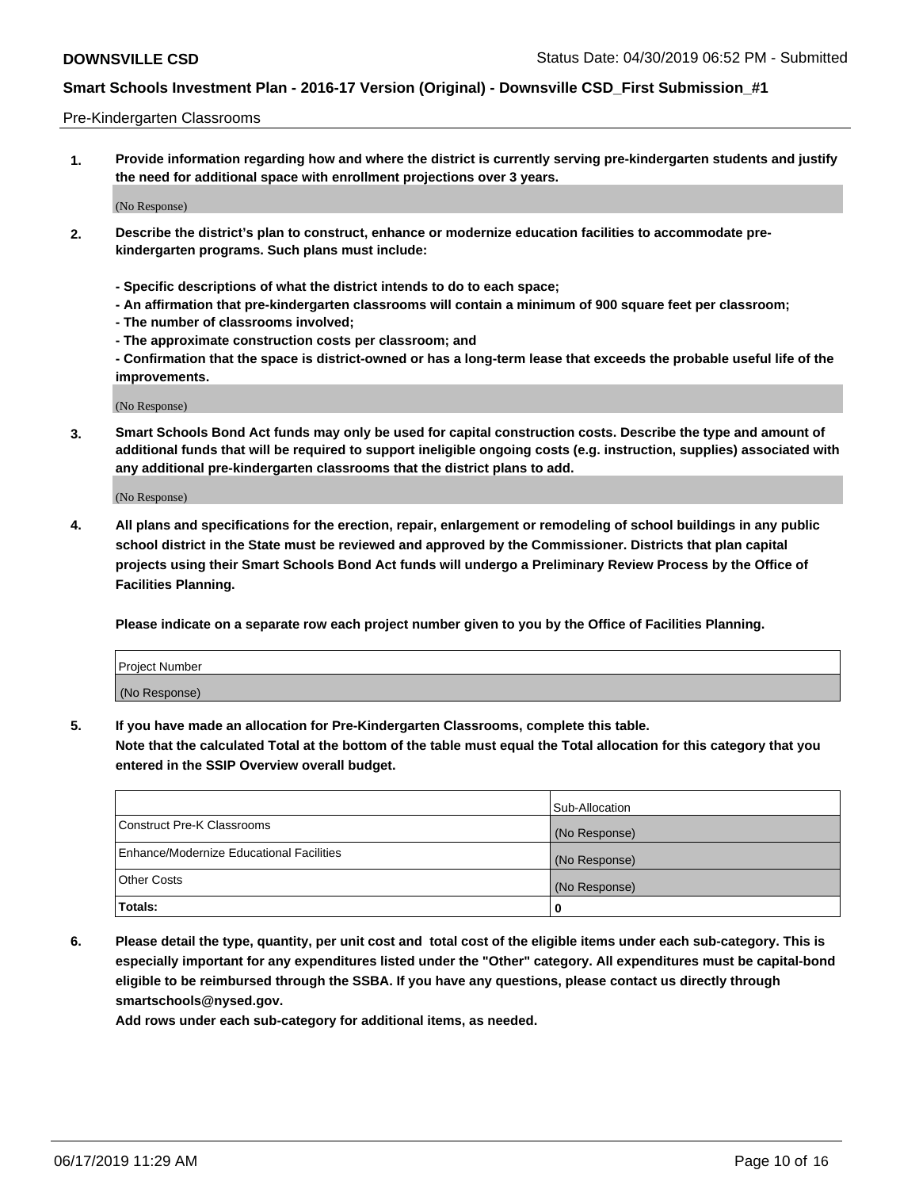#### Pre-Kindergarten Classrooms

**1. Provide information regarding how and where the district is currently serving pre-kindergarten students and justify the need for additional space with enrollment projections over 3 years.**

(No Response)

- **2. Describe the district's plan to construct, enhance or modernize education facilities to accommodate prekindergarten programs. Such plans must include:**
	- **Specific descriptions of what the district intends to do to each space;**
	- **An affirmation that pre-kindergarten classrooms will contain a minimum of 900 square feet per classroom;**
	- **The number of classrooms involved;**
	- **The approximate construction costs per classroom; and**
	- **Confirmation that the space is district-owned or has a long-term lease that exceeds the probable useful life of the improvements.**

(No Response)

**3. Smart Schools Bond Act funds may only be used for capital construction costs. Describe the type and amount of additional funds that will be required to support ineligible ongoing costs (e.g. instruction, supplies) associated with any additional pre-kindergarten classrooms that the district plans to add.**

(No Response)

**4. All plans and specifications for the erection, repair, enlargement or remodeling of school buildings in any public school district in the State must be reviewed and approved by the Commissioner. Districts that plan capital projects using their Smart Schools Bond Act funds will undergo a Preliminary Review Process by the Office of Facilities Planning.**

**Please indicate on a separate row each project number given to you by the Office of Facilities Planning.**

| Project Number |  |
|----------------|--|
| (No Response)  |  |
|                |  |

**5. If you have made an allocation for Pre-Kindergarten Classrooms, complete this table.**

**Note that the calculated Total at the bottom of the table must equal the Total allocation for this category that you entered in the SSIP Overview overall budget.**

|                                          | Sub-Allocation |
|------------------------------------------|----------------|
| Construct Pre-K Classrooms               | (No Response)  |
| Enhance/Modernize Educational Facilities | (No Response)  |
| <b>Other Costs</b>                       | (No Response)  |
| Totals:                                  | 0              |

**6. Please detail the type, quantity, per unit cost and total cost of the eligible items under each sub-category. This is especially important for any expenditures listed under the "Other" category. All expenditures must be capital-bond eligible to be reimbursed through the SSBA. If you have any questions, please contact us directly through smartschools@nysed.gov.**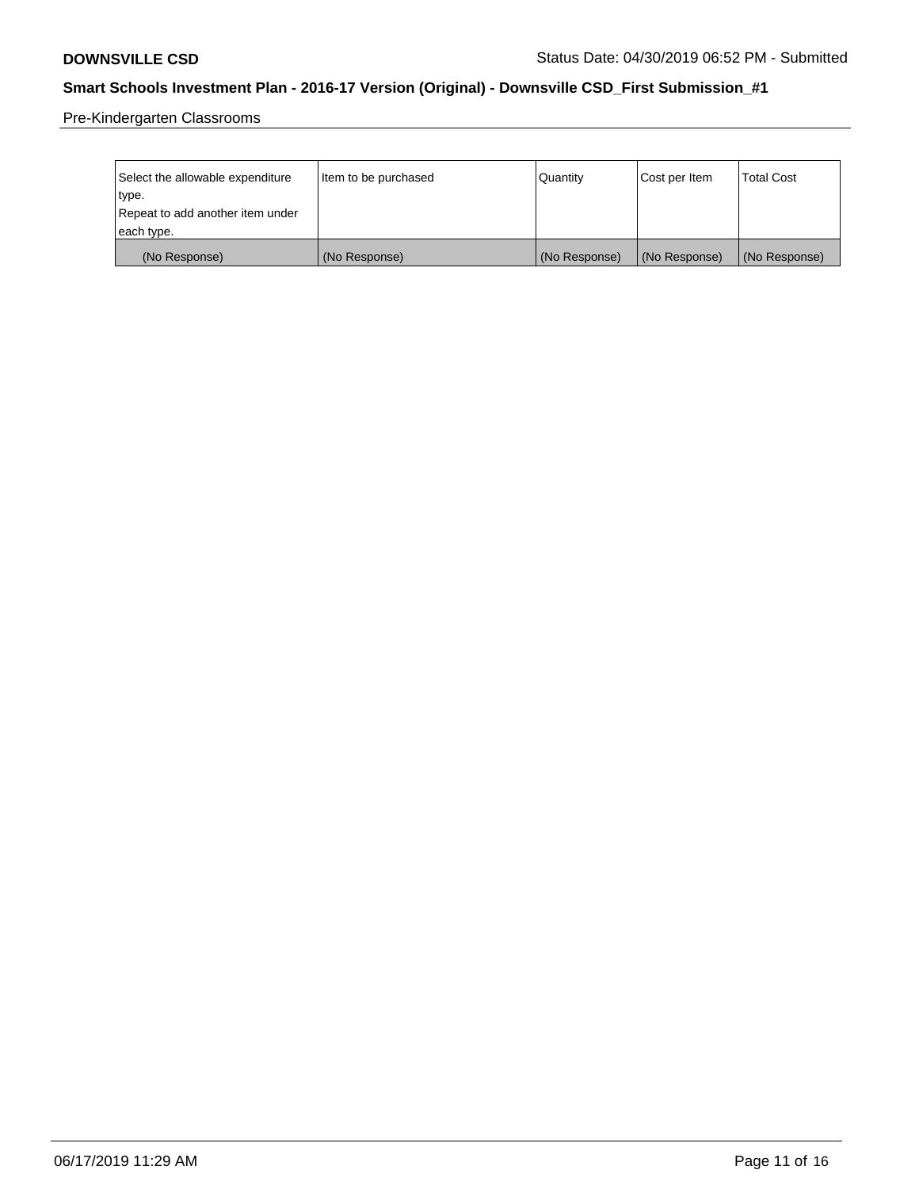Pre-Kindergarten Classrooms

| Select the allowable expenditure | Item to be purchased | Quantity      | Cost per Item | <b>Total Cost</b> |
|----------------------------------|----------------------|---------------|---------------|-------------------|
| type.                            |                      |               |               |                   |
| Repeat to add another item under |                      |               |               |                   |
| each type.                       |                      |               |               |                   |
| (No Response)                    | (No Response)        | (No Response) | (No Response) | (No Response)     |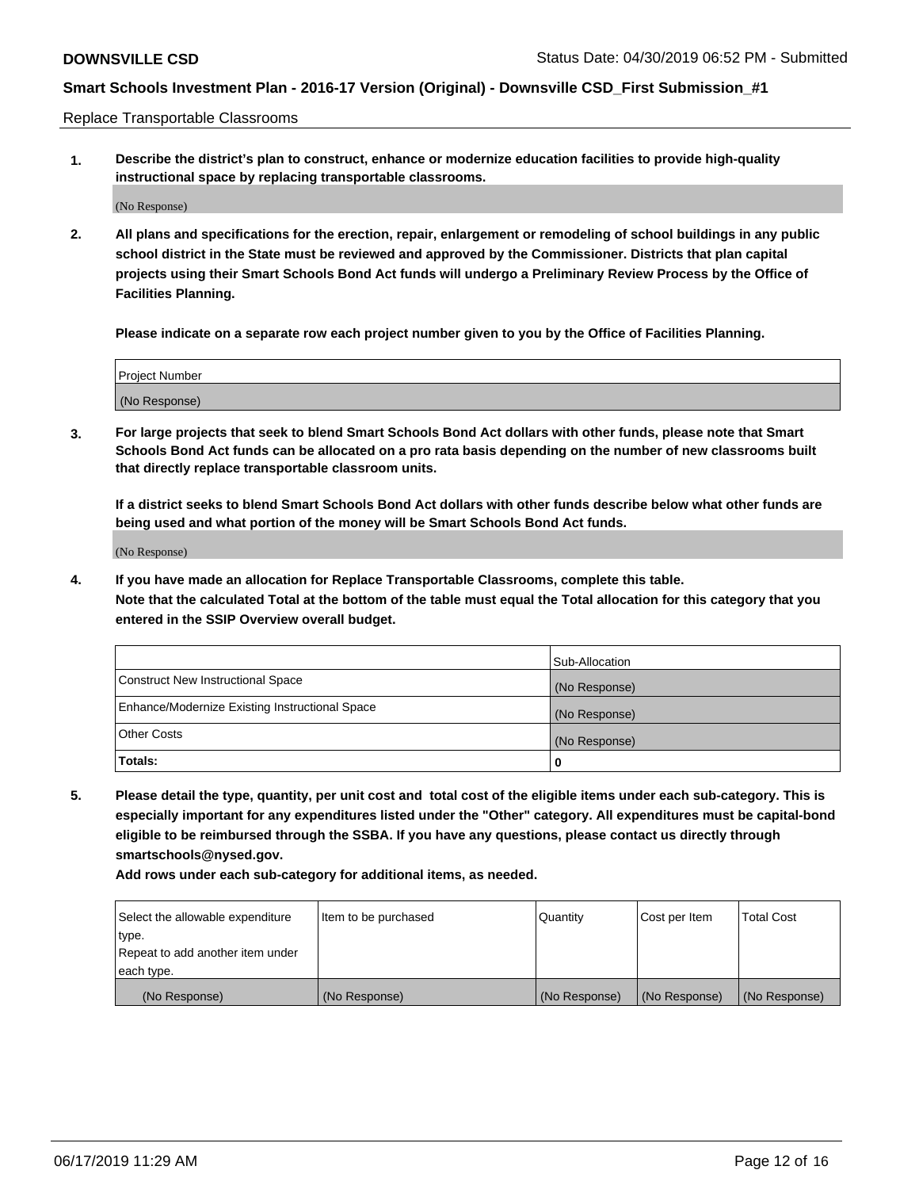Replace Transportable Classrooms

**1. Describe the district's plan to construct, enhance or modernize education facilities to provide high-quality instructional space by replacing transportable classrooms.**

(No Response)

**2. All plans and specifications for the erection, repair, enlargement or remodeling of school buildings in any public school district in the State must be reviewed and approved by the Commissioner. Districts that plan capital projects using their Smart Schools Bond Act funds will undergo a Preliminary Review Process by the Office of Facilities Planning.**

**Please indicate on a separate row each project number given to you by the Office of Facilities Planning.**

| Project Number |  |
|----------------|--|
|                |  |
|                |  |
|                |  |
|                |  |
| (No Response)  |  |
|                |  |
|                |  |
|                |  |

**3. For large projects that seek to blend Smart Schools Bond Act dollars with other funds, please note that Smart Schools Bond Act funds can be allocated on a pro rata basis depending on the number of new classrooms built that directly replace transportable classroom units.**

**If a district seeks to blend Smart Schools Bond Act dollars with other funds describe below what other funds are being used and what portion of the money will be Smart Schools Bond Act funds.**

(No Response)

**4. If you have made an allocation for Replace Transportable Classrooms, complete this table. Note that the calculated Total at the bottom of the table must equal the Total allocation for this category that you entered in the SSIP Overview overall budget.**

|                                                | Sub-Allocation |
|------------------------------------------------|----------------|
| Construct New Instructional Space              | (No Response)  |
| Enhance/Modernize Existing Instructional Space | (No Response)  |
| <b>Other Costs</b>                             | (No Response)  |
| Totals:                                        | 0              |

**5. Please detail the type, quantity, per unit cost and total cost of the eligible items under each sub-category. This is especially important for any expenditures listed under the "Other" category. All expenditures must be capital-bond eligible to be reimbursed through the SSBA. If you have any questions, please contact us directly through smartschools@nysed.gov.**

| Select the allowable expenditure | Item to be purchased | l Quantitv    | Cost per Item | <b>Total Cost</b> |
|----------------------------------|----------------------|---------------|---------------|-------------------|
| type.                            |                      |               |               |                   |
| Repeat to add another item under |                      |               |               |                   |
| each type.                       |                      |               |               |                   |
| (No Response)                    | (No Response)        | (No Response) | (No Response) | (No Response)     |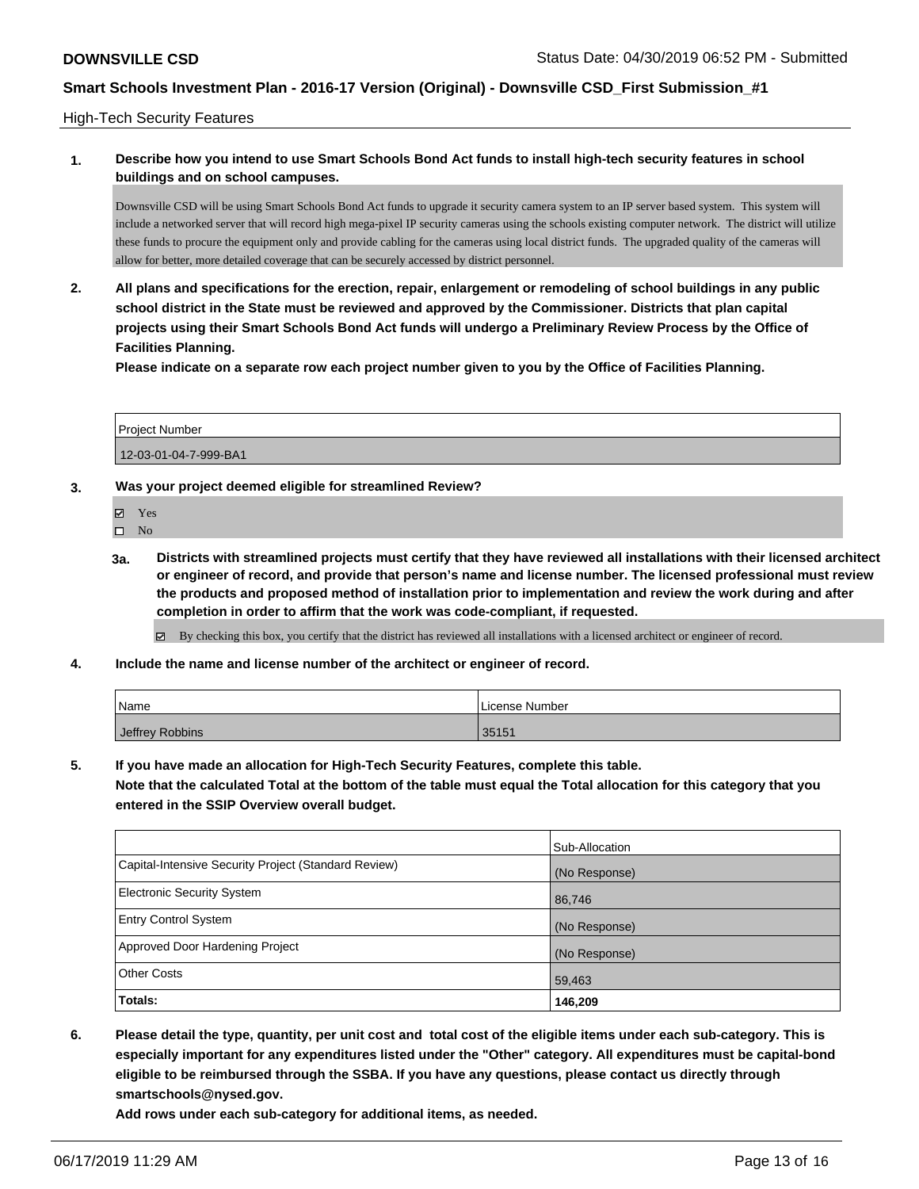#### High-Tech Security Features

### **1. Describe how you intend to use Smart Schools Bond Act funds to install high-tech security features in school buildings and on school campuses.**

Downsville CSD will be using Smart Schools Bond Act funds to upgrade it security camera system to an IP server based system. This system will include a networked server that will record high mega-pixel IP security cameras using the schools existing computer network. The district will utilize these funds to procure the equipment only and provide cabling for the cameras using local district funds. The upgraded quality of the cameras will allow for better, more detailed coverage that can be securely accessed by district personnel.

**2. All plans and specifications for the erection, repair, enlargement or remodeling of school buildings in any public school district in the State must be reviewed and approved by the Commissioner. Districts that plan capital projects using their Smart Schools Bond Act funds will undergo a Preliminary Review Process by the Office of Facilities Planning.** 

**Please indicate on a separate row each project number given to you by the Office of Facilities Planning.**

| <b>Project Number</b> |  |
|-----------------------|--|
| 12-03-01-04-7-999-BA1 |  |

- **3. Was your project deemed eligible for streamlined Review?**
	- Yes
	- $\square$  No
	- **3a. Districts with streamlined projects must certify that they have reviewed all installations with their licensed architect or engineer of record, and provide that person's name and license number. The licensed professional must review the products and proposed method of installation prior to implementation and review the work during and after completion in order to affirm that the work was code-compliant, if requested.**
		- By checking this box, you certify that the district has reviewed all installations with a licensed architect or engineer of record.
- **4. Include the name and license number of the architect or engineer of record.**

| Name            | License Number |
|-----------------|----------------|
| Jeffrey Robbins | 35151          |

**5. If you have made an allocation for High-Tech Security Features, complete this table.**

**Note that the calculated Total at the bottom of the table must equal the Total allocation for this category that you entered in the SSIP Overview overall budget.**

|                                                      | Sub-Allocation |
|------------------------------------------------------|----------------|
| Capital-Intensive Security Project (Standard Review) | (No Response)  |
| <b>Electronic Security System</b>                    | 86,746         |
| <b>Entry Control System</b>                          | (No Response)  |
| Approved Door Hardening Project                      | (No Response)  |
| <b>Other Costs</b>                                   | 59,463         |
| Totals:                                              | 146,209        |

**6. Please detail the type, quantity, per unit cost and total cost of the eligible items under each sub-category. This is especially important for any expenditures listed under the "Other" category. All expenditures must be capital-bond eligible to be reimbursed through the SSBA. If you have any questions, please contact us directly through smartschools@nysed.gov.**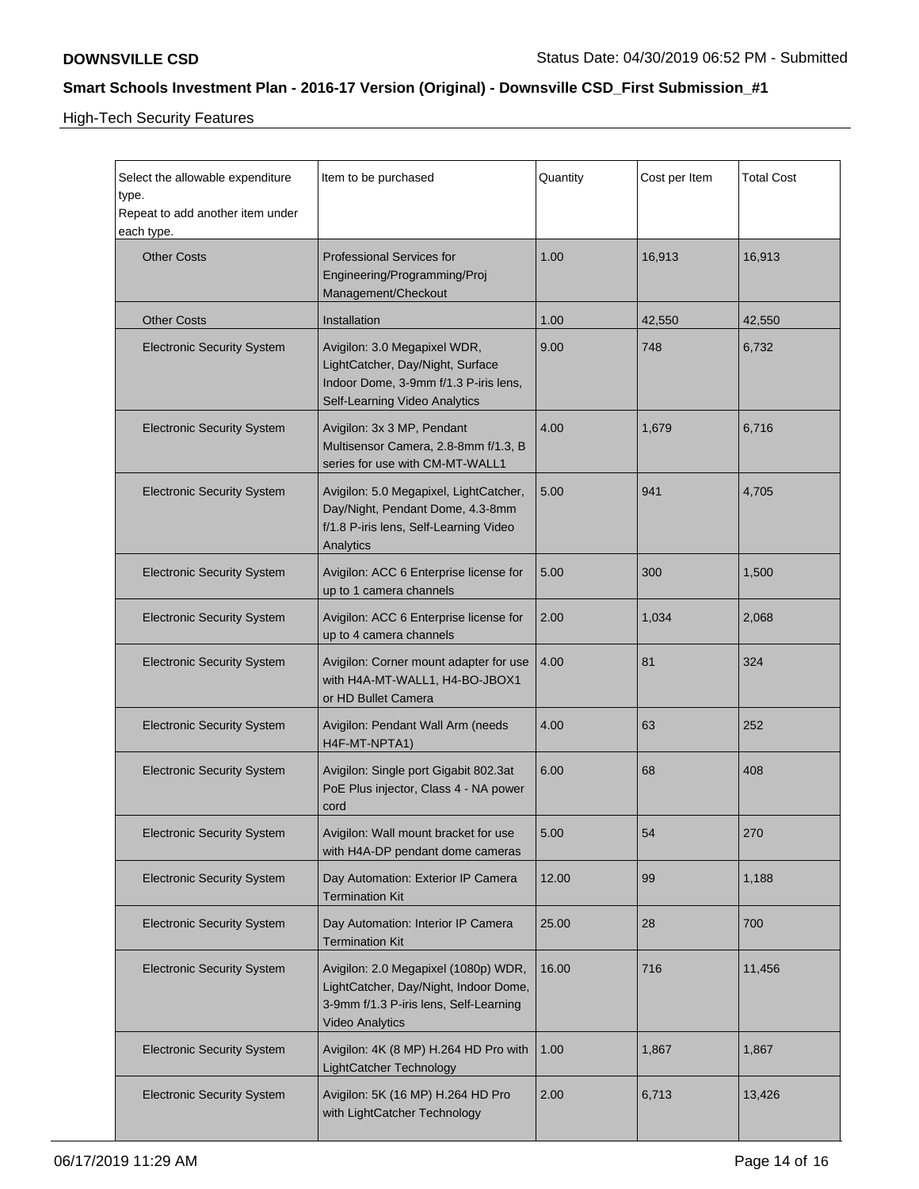High-Tech Security Features

| Select the allowable expenditure<br>type.<br>Repeat to add another item under<br>each type. | Item to be purchased                                                                                                                              | Quantity | Cost per Item | <b>Total Cost</b> |
|---------------------------------------------------------------------------------------------|---------------------------------------------------------------------------------------------------------------------------------------------------|----------|---------------|-------------------|
| <b>Other Costs</b>                                                                          | <b>Professional Services for</b><br>Engineering/Programming/Proj<br>Management/Checkout                                                           | 1.00     | 16,913        | 16,913            |
| <b>Other Costs</b>                                                                          | Installation                                                                                                                                      | 1.00     | 42,550        | 42,550            |
| <b>Electronic Security System</b>                                                           | Avigilon: 3.0 Megapixel WDR,<br>LightCatcher, Day/Night, Surface<br>Indoor Dome, 3-9mm f/1.3 P-iris lens,<br>Self-Learning Video Analytics        | 9.00     | 748           | 6,732             |
| <b>Electronic Security System</b>                                                           | Avigilon: 3x 3 MP, Pendant<br>Multisensor Camera, 2.8-8mm f/1.3, B<br>series for use with CM-MT-WALL1                                             | 4.00     | 1,679         | 6,716             |
| <b>Electronic Security System</b>                                                           | Avigilon: 5.0 Megapixel, LightCatcher,<br>Day/Night, Pendant Dome, 4.3-8mm<br>f/1.8 P-iris lens, Self-Learning Video<br>Analytics                 | 5.00     | 941           | 4,705             |
| <b>Electronic Security System</b>                                                           | Avigilon: ACC 6 Enterprise license for<br>up to 1 camera channels                                                                                 | 5.00     | 300           | 1,500             |
| <b>Electronic Security System</b>                                                           | Avigilon: ACC 6 Enterprise license for<br>up to 4 camera channels                                                                                 | 2.00     | 1,034         | 2,068             |
| <b>Electronic Security System</b>                                                           | Avigilon: Corner mount adapter for use<br>with H4A-MT-WALL1, H4-BO-JBOX1<br>or HD Bullet Camera                                                   | 4.00     | 81            | 324               |
| <b>Electronic Security System</b>                                                           | Avigilon: Pendant Wall Arm (needs<br>H4F-MT-NPTA1)                                                                                                | 4.00     | 63            | 252               |
| <b>Electronic Security System</b>                                                           | Avigilon: Single port Gigabit 802.3at<br>PoE Plus injector, Class 4 - NA power<br>cord                                                            | 6.00     | 68            | 408               |
| <b>Electronic Security System</b>                                                           | Avigilon: Wall mount bracket for use<br>with H4A-DP pendant dome cameras                                                                          | 5.00     | 54            | 270               |
| <b>Electronic Security System</b>                                                           | Day Automation: Exterior IP Camera<br><b>Termination Kit</b>                                                                                      | 12.00    | 99            | 1,188             |
| <b>Electronic Security System</b>                                                           | Day Automation: Interior IP Camera<br><b>Termination Kit</b>                                                                                      | 25.00    | 28            | 700               |
| <b>Electronic Security System</b>                                                           | Avigilon: 2.0 Megapixel (1080p) WDR,<br>LightCatcher, Day/Night, Indoor Dome,<br>3-9mm f/1.3 P-iris lens, Self-Learning<br><b>Video Analytics</b> | 16.00    | 716           | 11,456            |
| <b>Electronic Security System</b>                                                           | Avigilon: 4K (8 MP) H.264 HD Pro with<br>LightCatcher Technology                                                                                  | 1.00     | 1,867         | 1,867             |
| <b>Electronic Security System</b>                                                           | Avigilon: 5K (16 MP) H.264 HD Pro<br>with LightCatcher Technology                                                                                 | 2.00     | 6,713         | 13,426            |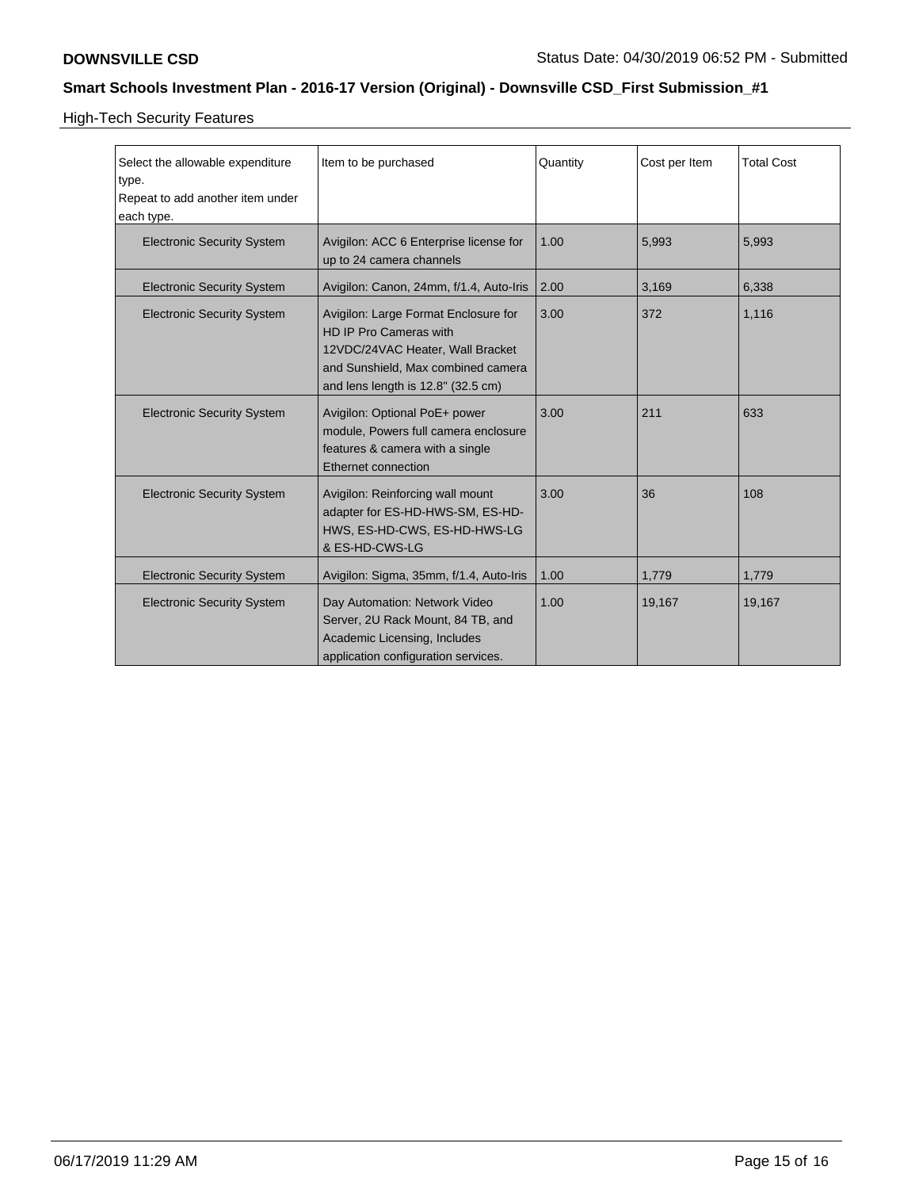High-Tech Security Features

| Select the allowable expenditure<br>type.<br>Repeat to add another item under<br>each type. | Item to be purchased                                                                                                                                                           | Quantity | Cost per Item | <b>Total Cost</b> |
|---------------------------------------------------------------------------------------------|--------------------------------------------------------------------------------------------------------------------------------------------------------------------------------|----------|---------------|-------------------|
| <b>Electronic Security System</b>                                                           | Avigilon: ACC 6 Enterprise license for<br>up to 24 camera channels                                                                                                             | 1.00     | 5,993         | 5,993             |
| <b>Electronic Security System</b>                                                           | Avigilon: Canon, 24mm, f/1.4, Auto-Iris                                                                                                                                        | 2.00     | 3,169         | 6,338             |
| <b>Electronic Security System</b>                                                           | Avigilon: Large Format Enclosure for<br>HD IP Pro Cameras with<br>12VDC/24VAC Heater, Wall Bracket<br>and Sunshield, Max combined camera<br>and lens length is 12.8" (32.5 cm) | 3.00     | 372           | 1,116             |
| <b>Electronic Security System</b>                                                           | Avigilon: Optional PoE+ power<br>module, Powers full camera enclosure<br>features & camera with a single<br>Ethernet connection                                                | 3.00     | 211           | 633               |
| <b>Electronic Security System</b>                                                           | Avigilon: Reinforcing wall mount<br>adapter for ES-HD-HWS-SM, ES-HD-<br>HWS, ES-HD-CWS, ES-HD-HWS-LG<br>& ES-HD-CWS-LG                                                         | 3.00     | 36            | 108               |
| <b>Electronic Security System</b>                                                           | Avigilon: Sigma, 35mm, f/1.4, Auto-Iris                                                                                                                                        | 1.00     | 1,779         | 1,779             |
| <b>Electronic Security System</b>                                                           | Day Automation: Network Video<br>Server, 2U Rack Mount, 84 TB, and<br>Academic Licensing, Includes<br>application configuration services.                                      | 1.00     | 19,167        | 19,167            |